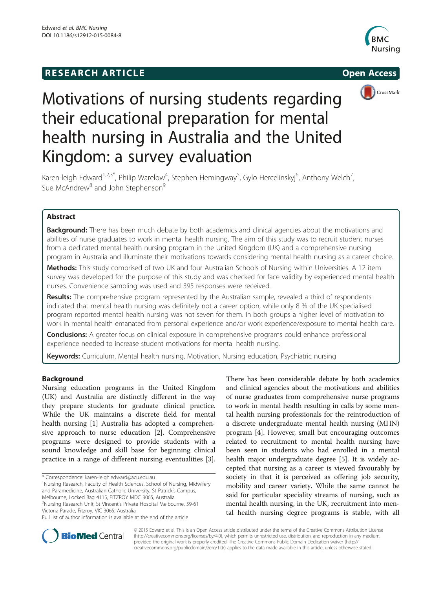## **RESEARCH ARTICLE Example 2014 The SEAR CH ACCESS**







# Motivations of nursing students regarding their educational preparation for mental health nursing in Australia and the United Kingdom: a survey evaluation

Karen-leigh Edward<sup>1,2,3\*</sup>, Philip Warelow<sup>4</sup>, Stephen Hemingway<sup>5</sup>, Gylo Hercelinskyj<sup>6</sup>, Anthony Welch<sup>7</sup> , Sue McAndrew<sup>8</sup> and John Stephenson<sup>9</sup>

## Abstract

Background: There has been much debate by both academics and clinical agencies about the motivations and abilities of nurse graduates to work in mental health nursing. The aim of this study was to recruit student nurses from a dedicated mental health nursing program in the United Kingdom (UK) and a comprehensive nursing program in Australia and illuminate their motivations towards considering mental health nursing as a career choice.

Methods: This study comprised of two UK and four Australian Schools of Nursing within Universities. A 12 item survey was developed for the purpose of this study and was checked for face validity by experienced mental health nurses. Convenience sampling was used and 395 responses were received.

Results: The comprehensive program represented by the Australian sample, revealed a third of respondents indicated that mental health nursing was definitely not a career option, while only 8 % of the UK specialised program reported mental health nursing was not seven for them. In both groups a higher level of motivation to work in mental health emanated from personal experience and/or work experience/exposure to mental health care.

**Conclusions:** A greater focus on clinical exposure in comprehensive programs could enhance professional experience needed to increase student motivations for mental health nursing.

Keywords: Curriculum, Mental health nursing, Motivation, Nursing education, Psychiatric nursing

## Background

Nursing education programs in the United Kingdom (UK) and Australia are distinctly different in the way they prepare students for graduate clinical practice. While the UK maintains a discrete field for mental health nursing [1] Australia has adopted a comprehensive approach to nurse education [2]. Comprehensive programs were designed to provide students with a sound knowledge and skill base for beginning clinical practice in a range of different nursing eventualities [3].

2 Nursing Research Unit, St Vincent's Private Hospital Melbourne, 59-61 Victoria Parade, Fitzroy, VIC 3065, Australia

There has been considerable debate by both academics and clinical agencies about the motivations and abilities of nurse graduates from comprehensive nurse programs to work in mental health resulting in calls by some mental health nursing professionals for the reintroduction of a discrete undergraduate mental health nursing (MHN) program [4]. However, small but encouraging outcomes related to recruitment to mental health nursing have been seen in students who had enrolled in a mental health major undergraduate degree [5]. It is widely accepted that nursing as a career is viewed favourably by society in that it is perceived as offering job security, mobility and career variety. While the same cannot be said for particular speciality streams of nursing, such as mental health nursing, in the UK, recruitment into mental health nursing degree programs is stable, with all



© 2015 Edward et al. This is an Open Access article distributed under the terms of the Creative Commons Attribution License (http://creativecommons.org/licenses/by/4.0), which permits unrestricted use, distribution, and reproduction in any medium, provided the original work is properly credited. The Creative Commons Public Domain Dedication waiver (http:// creativecommons.org/publicdomain/zero/1.0/) applies to the data made available in this article, unless otherwise stated.

<sup>\*</sup> Correspondence: karen-leigh.edward@acu.edu.au <sup>1</sup>

<sup>&</sup>lt;sup>1</sup>Nursing Research, Faculty of Health Sciences, School of Nursing, Midwifery and Paramedicine, Australian Catholic University, St Patrick's Campus, Melbourne, Locked Bag 4115, FITZROY MDC 3065, Australia

Full list of author information is available at the end of the article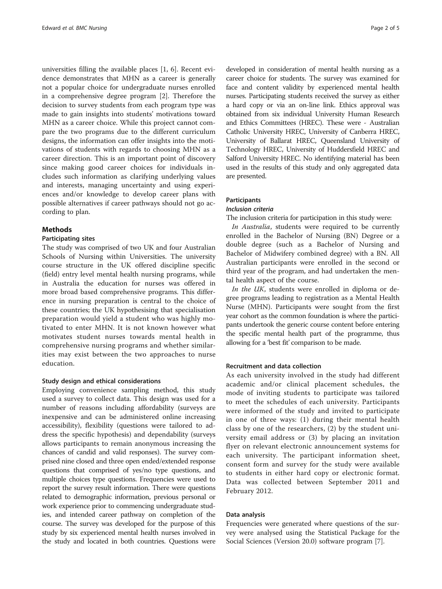universities filling the available places [1, 6]. Recent evidence demonstrates that MHN as a career is generally not a popular choice for undergraduate nurses enrolled in a comprehensive degree program [2]. Therefore the decision to survey students from each program type was made to gain insights into students' motivations toward MHN as a career choice. While this project cannot compare the two programs due to the different curriculum designs, the information can offer insights into the motivations of students with regards to choosing MHN as a career direction. This is an important point of discovery since making good career choices for individuals includes such information as clarifying underlying values and interests, managing uncertainty and using experiences and/or knowledge to develop career plans with possible alternatives if career pathways should not go according to plan.

## Methods

## Participating sites

The study was comprised of two UK and four Australian Schools of Nursing within Universities. The university course structure in the UK offered discipline specific (field) entry level mental health nursing programs, while in Australia the education for nurses was offered in more broad based comprehensive programs. This difference in nursing preparation is central to the choice of these countries; the UK hypothesising that specialisation preparation would yield a student who was highly motivated to enter MHN. It is not known however what motivates student nurses towards mental health in comprehensive nursing programs and whether similarities may exist between the two approaches to nurse education.

## Study design and ethical considerations

Employing convenience sampling method, this study used a survey to collect data. This design was used for a number of reasons including affordability (surveys are inexpensive and can be administered online increasing accessibility), flexibility (questions were tailored to address the specific hypothesis) and dependability (surveys allows participants to remain anonymous increasing the chances of candid and valid responses). The survey comprised nine closed and three open ended/extended response questions that comprised of yes/no type questions, and multiple choices type questions. Frequencies were used to report the survey result information. There were questions related to demographic information, previous personal or work experience prior to commencing undergraduate studies, and intended career pathway on completion of the course. The survey was developed for the purpose of this study by six experienced mental health nurses involved in the study and located in both countries. Questions were

developed in consideration of mental health nursing as a career choice for students. The survey was examined for face and content validity by experienced mental health nurses. Participating students received the survey as either a hard copy or via an on-line link. Ethics approval was obtained from six individual University Human Research and Ethics Committees (HREC). These were - Australian Catholic University HREC, University of Canberra HREC, University of Ballarat HREC, Queensland University of Technology HREC, University of Huddersfield HREC and Salford University HREC. No identifying material has been used in the results of this study and only aggregated data are presented.

## **Participants**

## Inclusion criteria

The inclusion criteria for participation in this study were:

In Australia, students were required to be currently enrolled in the Bachelor of Nursing (BN) Degree or a double degree (such as a Bachelor of Nursing and Bachelor of Midwifery combined degree) with a BN. All Australian participants were enrolled in the second or third year of the program, and had undertaken the mental health aspect of the course.

In the UK, students were enrolled in diploma or degree programs leading to registration as a Mental Health Nurse (MHN). Participants were sought from the first year cohort as the common foundation is where the participants undertook the generic course content before entering the specific mental health part of the programme, thus allowing for a 'best fit' comparison to be made.

## Recruitment and data collection

As each university involved in the study had different academic and/or clinical placement schedules, the mode of inviting students to participate was tailored to meet the schedules of each university. Participants were informed of the study and invited to participate in one of three ways: (1) during their mental health class by one of the researchers, (2) by the student university email address or (3) by placing an invitation flyer on relevant electronic announcement systems for each university. The participant information sheet, consent form and survey for the study were available to students in either hard copy or electronic format. Data was collected between September 2011 and February 2012.

## Data analysis

Frequencies were generated where questions of the survey were analysed using the Statistical Package for the Social Sciences (Version 20.0) software program [7].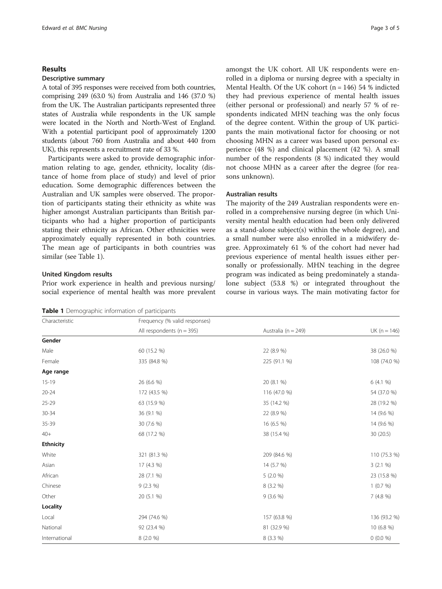## Results

## Descriptive summary

A total of 395 responses were received from both countries, comprising 249 (63.0 %) from Australia and 146 (37.0 %) from the UK. The Australian participants represented three states of Australia while respondents in the UK sample were located in the North and North-West of England. With a potential participant pool of approximately 1200 students (about 760 from Australia and about 440 from UK), this represents a recruitment rate of 33 %.

Participants were asked to provide demographic information relating to age, gender, ethnicity, locality (distance of home from place of study) and level of prior education. Some demographic differences between the Australian and UK samples were observed. The proportion of participants stating their ethnicity as white was higher amongst Australian participants than British participants who had a higher proportion of participants stating their ethnicity as African. Other ethnicities were approximately equally represented in both countries. The mean age of participants in both countries was similar (see Table 1).

## United Kingdom results

Prior work experience in health and previous nursing/ social experience of mental health was more prevalent

|  |  |  |  | Table 1 Demographic information of participants |
|--|--|--|--|-------------------------------------------------|
|--|--|--|--|-------------------------------------------------|

amongst the UK cohort. All UK respondents were enrolled in a diploma or nursing degree with a specialty in Mental Health. Of the UK cohort ( $n = 146$ ) 54 % indicted they had previous experience of mental health issues (either personal or professional) and nearly 57 % of respondents indicated MHN teaching was the only focus of the degree content. Within the group of UK participants the main motivational factor for choosing or not choosing MHN as a career was based upon personal experience (48 %) and clinical placement (42 %). A small number of the respondents (8 %) indicated they would not choose MHN as a career after the degree (for reasons unknown).

## Australian results

The majority of the 249 Australian respondents were enrolled in a comprehensive nursing degree (in which University mental health education had been only delivered as a stand-alone subject(s) within the whole degree), and a small number were also enrolled in a midwifery degree. Approximately 61 % of the cohort had never had previous experience of mental health issues either personally or professionally. MHN teaching in the degree program was indicated as being predominately a standalone subject (53.8 %) or integrated throughout the course in various ways. The main motivating factor for

| Characteristic   | Frequency (% valid responses) |                         |                |
|------------------|-------------------------------|-------------------------|----------------|
|                  | All respondents ( $n = 395$ ) | Australia ( $n = 249$ ) | $UK (n = 146)$ |
| Gender           |                               |                         |                |
| Male             | 60 (15.2 %)                   | 22 (8.9 %)              | 38 (26.0 %)    |
| Female           | 335 (84.8 %)                  | 225 (91.1 %)            | 108 (74.0 %)   |
| Age range        |                               |                         |                |
| $15 - 19$        | 26 (6.6 %)                    | 20 (8.1 %)              | 6 (4.1 %)      |
| $20 - 24$        | 172 (43.5 %)                  | 116 (47.0 %)            | 54 (37.0 %)    |
| $25 - 29$        | 63 (15.9 %)                   | 35 (14.2 %)             | 28 (19.2 %)    |
| $30 - 34$        | 36 (9.1 %)                    | 22 (8.9 %)              | 14 (9.6 %)     |
| 35-39            | 30 (7.6 %)                    | 16 (6.5 %)              | 14 (9.6 %)     |
| $40+$            | 68 (17.2 %)                   | 38 (15.4 %)             | 30 (20.5)      |
| <b>Ethnicity</b> |                               |                         |                |
| White            | 321 (81.3 %)                  | 209 (84.6 %)            | 110 (75.3 %)   |
| Asian            | 17 (4.3 %)                    | 14 (5.7 %)              | 3(2.1%         |
| African          | 28 (7.1 %)                    | $5(2.0\%)$              | 23 (15.8 %)    |
| Chinese          | $9(2.3\%)$                    | 8 (3.2 %)               | 1(0.7%)        |
| Other            | 20 (5.1 %)                    | $9(3.6\%)$              | 7(4.8%)        |
| Locality         |                               |                         |                |
| Local            | 294 (74.6 %)                  | 157 (63.8 %)            | 136 (93.2 %)   |
| National         | 92 (23.4 %)                   | 81 (32.9 %)             | 10 (6.8 %)     |
| International    | 8 (2.0 %)                     | 8 (3.3 %)               | $0(0.0\%)$     |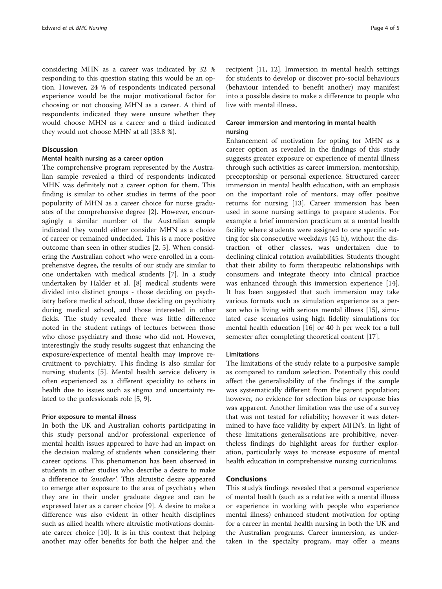considering MHN as a career was indicated by 32 % responding to this question stating this would be an option. However, 24 % of respondents indicated personal experience would be the major motivational factor for choosing or not choosing MHN as a career. A third of respondents indicated they were unsure whether they would choose MHN as a career and a third indicated they would not choose MHN at all (33.8 %).

## **Discussion**

## Mental health nursing as a career option

The comprehensive program represented by the Australian sample revealed a third of respondents indicated MHN was definitely not a career option for them. This finding is similar to other studies in terms of the poor popularity of MHN as a career choice for nurse graduates of the comprehensive degree [2]. However, encouragingly a similar number of the Australian sample indicated they would either consider MHN as a choice of career or remained undecided. This is a more positive outcome than seen in other studies [2, 5]. When considering the Australian cohort who were enrolled in a comprehensive degree, the results of our study are similar to one undertaken with medical students [7]. In a study undertaken by Halder et al. [8] medical students were divided into distinct groups - those deciding on psychiatry before medical school, those deciding on psychiatry during medical school, and those interested in other fields. The study revealed there was little difference noted in the student ratings of lectures between those who chose psychiatry and those who did not. However, interestingly the study results suggest that enhancing the exposure/experience of mental health may improve recruitment to psychiatry. This finding is also similar for nursing students [5]. Mental health service delivery is often experienced as a different speciality to others in health due to issues such as stigma and uncertainty related to the professionals role [5, 9].

## Prior exposure to mental illness

In both the UK and Australian cohorts participating in this study personal and/or professional experience of mental health issues appeared to have had an impact on the decision making of students when considering their career options. This phenomenon has been observed in students in other studies who describe a desire to make a difference to 'another'. This altruistic desire appeared to emerge after exposure to the area of psychiatry when they are in their under graduate degree and can be expressed later as a career choice [9]. A desire to make a difference was also evident in other health disciplines such as allied health where altruistic motivations dominate career choice [10]. It is in this context that helping another may offer benefits for both the helper and the

recipient [11, 12]. Immersion in mental health settings for students to develop or discover pro-social behaviours (behaviour intended to benefit another) may manifest into a possible desire to make a difference to people who live with mental illness.

## Career immersion and mentoring in mental health nursing

Enhancement of motivation for opting for MHN as a career option as revealed in the findings of this study suggests greater exposure or experience of mental illness through such activities as career immersion, mentorship, preceptorship or personal experience. Structured career immersion in mental health education, with an emphasis on the important role of mentors, may offer positive returns for nursing [13]. Career immersion has been used in some nursing settings to prepare students. For example a brief immersion practicum at a mental health facility where students were assigned to one specific setting for six consecutive weekdays (45 h), without the distraction of other classes, was undertaken due to declining clinical rotation availabilities. Students thought that their ability to form therapeutic relationships with consumers and integrate theory into clinical practice was enhanced through this immersion experience [14]. It has been suggested that such immersion may take various formats such as simulation experience as a person who is living with serious mental illness [15], simulated case scenarios using high fidelity simulations for mental health education [16] or 40 h per week for a full semester after completing theoretical content [17].

## Limitations

The limitations of the study relate to a purposive sample as compared to random selection. Potentially this could affect the generalisability of the findings if the sample was systematically different from the parent population; however, no evidence for selection bias or response bias was apparent. Another limitation was the use of a survey that was not tested for reliability; however it was determined to have face validity by expert MHN's. In light of these limitations generalisations are prohibitive, nevertheless findings do highlight areas for further exploration, particularly ways to increase exposure of mental health education in comprehensive nursing curriculums.

## Conclusions

This study's findings revealed that a personal experience of mental health (such as a relative with a mental illness or experience in working with people who experience mental illness) enhanced student motivation for opting for a career in mental health nursing in both the UK and the Australian programs. Career immersion, as undertaken in the specialty program, may offer a means